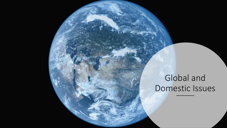## Global and Domestic Issues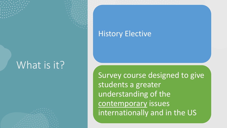## What is it?

## History Elective

Survey course designed to give students a greater understanding of the contemporary issues internationally and in the US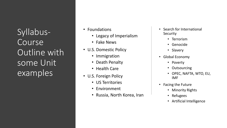Syllabus - Course Outline with some Unit examples

- Foundations
	- Legacy of Imperialism
	- Fake News
- U.S. Domestic Policy
	- Immigration
	- Death Penalty
	- Health Care
- U.S. Foreign Policy
	- US Territories
	- Environment
	- Russia, North Korea, Iran
- Search for International **Security** 
	- Terrorism
	- Genocide
	- Slavery
- Global Economy
	- Poverty
	- Outsourcing
	- OPEC, NAFTA, WTO, EU, IMF
- Facing the Future
	- Minority Rights
	- Refugees
	- Artificial Intelligence